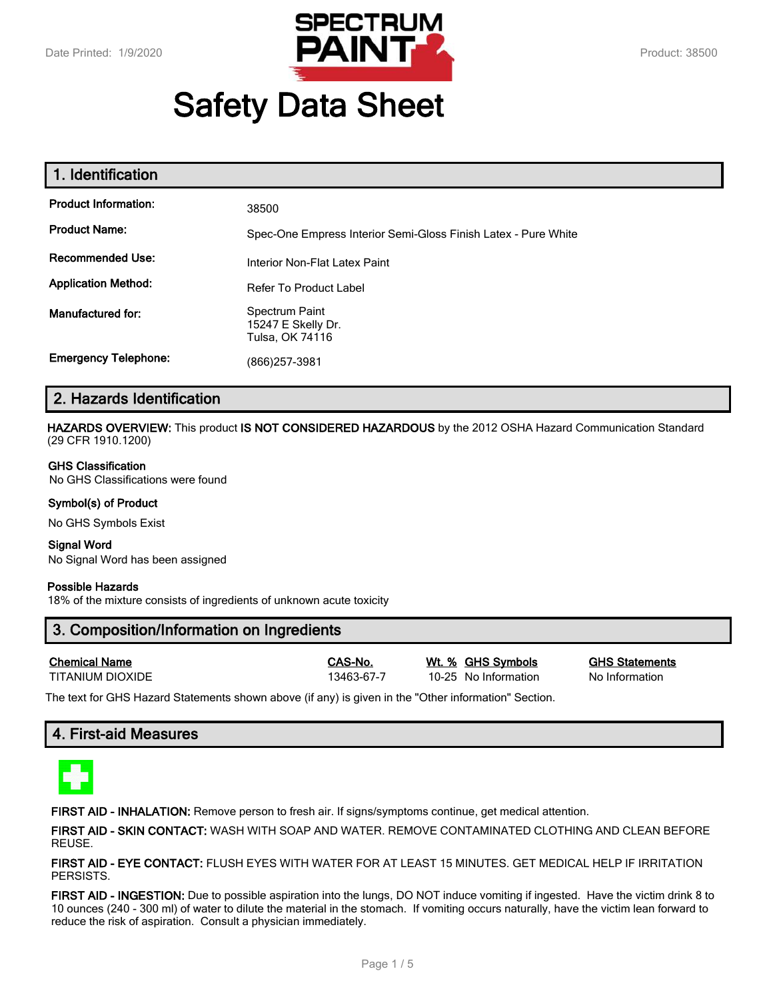

# **Safety Data Sheet**

| 1. Identification           |                                                                |
|-----------------------------|----------------------------------------------------------------|
| <b>Product Information:</b> | 38500                                                          |
| <b>Product Name:</b>        | Spec-One Empress Interior Semi-Gloss Finish Latex - Pure White |
| <b>Recommended Use:</b>     | Interior Non-Flat Latex Paint                                  |
| <b>Application Method:</b>  | Refer To Product Label                                         |
| Manufactured for:           | Spectrum Paint<br>15247 E Skelly Dr.<br>Tulsa, OK 74116        |
| <b>Emergency Telephone:</b> | (866) 257-3981                                                 |

# **2. Hazards Identification**

**HAZARDS OVERVIEW:** This product **IS NOT CONSIDERED HAZARDOUS** by the 2012 OSHA Hazard Communication Standard (29 CFR 1910.1200)

#### **GHS Classification**

No GHS Classifications were found

## **Symbol(s) of Product**

No GHS Symbols Exist

#### **Signal Word** No Signal Word has been assigned

#### **Possible Hazards**

18% of the mixture consists of ingredients of unknown acute toxicity

# **3. Composition/Information on Ingredients**

| <b>Chemical Name</b> |  |
|----------------------|--|
| TITANII IM DIOXIDE   |  |

13463-67-7 10-25 No Information No Information

**Chemical Name CAS-No. Wt. % GHS Symbols GHS Statements**

The text for GHS Hazard Statements shown above (if any) is given in the "Other information" Section.

# **4. First-aid Measures**



**FIRST AID - INHALATION:** Remove person to fresh air. If signs/symptoms continue, get medical attention.

**FIRST AID - SKIN CONTACT:** WASH WITH SOAP AND WATER. REMOVE CONTAMINATED CLOTHING AND CLEAN BEFORE REUSE.

**FIRST AID - EYE CONTACT:** FLUSH EYES WITH WATER FOR AT LEAST 15 MINUTES. GET MEDICAL HELP IF IRRITATION PERSISTS.

**FIRST AID - INGESTION:** Due to possible aspiration into the lungs, DO NOT induce vomiting if ingested. Have the victim drink 8 to 10 ounces (240 - 300 ml) of water to dilute the material in the stomach. If vomiting occurs naturally, have the victim lean forward to reduce the risk of aspiration. Consult a physician immediately.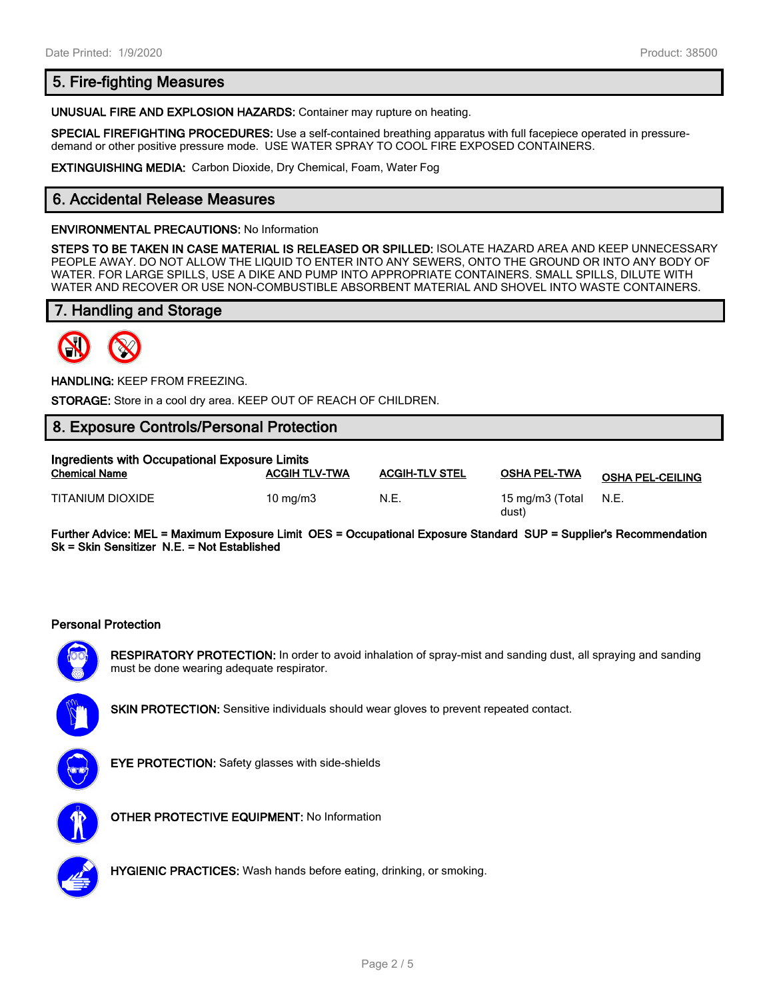# **5. Fire-fighting Measures**

**UNUSUAL FIRE AND EXPLOSION HAZARDS:** Container may rupture on heating.

**SPECIAL FIREFIGHTING PROCEDURES:** Use a self-contained breathing apparatus with full facepiece operated in pressuredemand or other positive pressure mode. USE WATER SPRAY TO COOL FIRE EXPOSED CONTAINERS.

**EXTINGUISHING MEDIA:** Carbon Dioxide, Dry Chemical, Foam, Water Fog

# **6. Accidental Release Measures**

#### **ENVIRONMENTAL PRECAUTIONS:** No Information

**STEPS TO BE TAKEN IN CASE MATERIAL IS RELEASED OR SPILLED:** ISOLATE HAZARD AREA AND KEEP UNNECESSARY PEOPLE AWAY. DO NOT ALLOW THE LIQUID TO ENTER INTO ANY SEWERS, ONTO THE GROUND OR INTO ANY BODY OF WATER. FOR LARGE SPILLS, USE A DIKE AND PUMP INTO APPROPRIATE CONTAINERS. SMALL SPILLS, DILUTE WITH WATER AND RECOVER OR USE NON-COMBUSTIBLE ABSORBENT MATERIAL AND SHOVEL INTO WASTE CONTAINERS.

# **7. Handling and Storage**



**HANDLING:** KEEP FROM FREEZING.

**STORAGE:** Store in a cool dry area. KEEP OUT OF REACH OF CHILDREN.

## **8. Exposure Controls/Personal Protection**

| Ingredients with Occupational Exposure Limits |                      |                       |                          |                         |  |
|-----------------------------------------------|----------------------|-----------------------|--------------------------|-------------------------|--|
| <b>Chemical Name</b>                          | <b>ACGIH TLV-TWA</b> | <b>ACGIH-TLV STEL</b> | <b>OSHA PEL-TWA</b>      | <b>OSHA PEL-CEILING</b> |  |
| TITANIUM DIOXIDE                              | $10 \text{ ma/m}$ 3  | N.E.                  | 15 mg/m3 (Total<br>dust) | N.E.                    |  |

**Further Advice: MEL = Maximum Exposure Limit OES = Occupational Exposure Standard SUP = Supplier's Recommendation Sk = Skin Sensitizer N.E. = Not Established**

### **Personal Protection**



**RESPIRATORY PROTECTION:** In order to avoid inhalation of spray-mist and sanding dust, all spraying and sanding must be done wearing adequate respirator.



**SKIN PROTECTION:** Sensitive individuals should wear gloves to prevent repeated contact.



**EYE PROTECTION:** Safety glasses with side-shields



**OTHER PROTECTIVE EQUIPMENT:** No Information



**HYGIENIC PRACTICES:** Wash hands before eating, drinking, or smoking.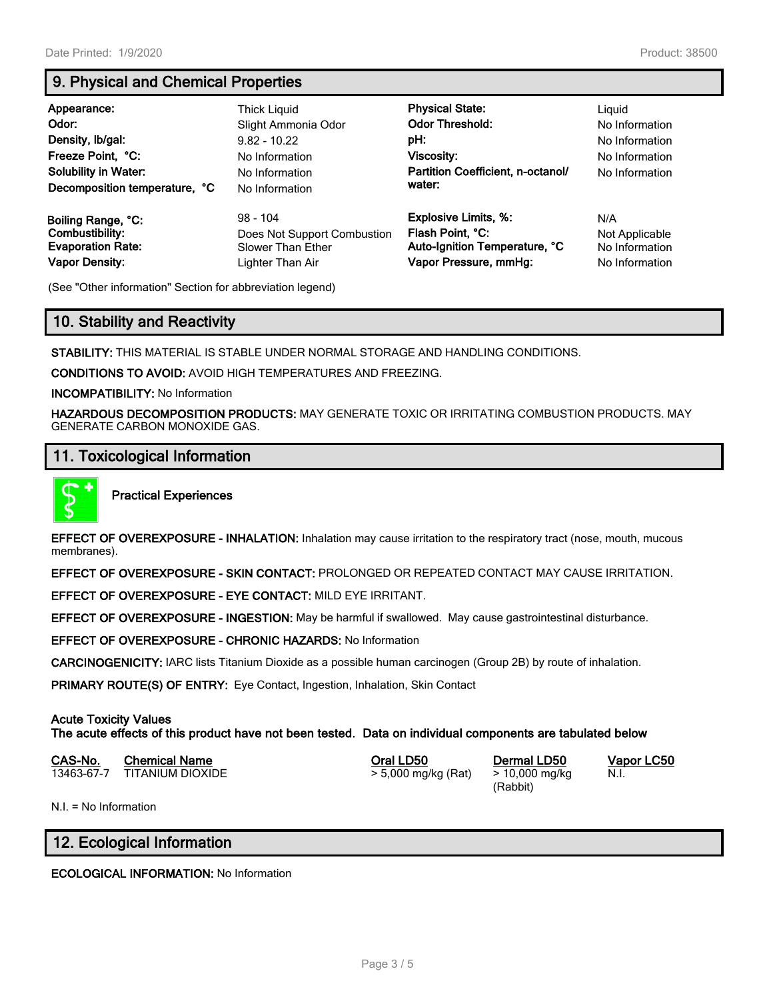# **9. Physical and Chemical Properties**

| Appearance:<br>Odor:<br>Density, Ib/gal:<br>Freeze Point, °C:<br><b>Solubility in Water:</b><br>Decomposition temperature, °C | Thick Liguid<br>Slight Ammonia Odor<br>$9.82 - 10.22$<br>No Information<br>No Information<br>No Information | <b>Physical State:</b><br><b>Odor Threshold:</b><br>pH:<br>Viscosity:<br>Partition Coefficient, n-octanol/<br>water: | Liguid<br>No Information<br>No Information<br>No Information<br>No Information |
|-------------------------------------------------------------------------------------------------------------------------------|-------------------------------------------------------------------------------------------------------------|----------------------------------------------------------------------------------------------------------------------|--------------------------------------------------------------------------------|
| Boiling Range, °C:                                                                                                            | $98 - 104$                                                                                                  | <b>Explosive Limits, %:</b>                                                                                          | N/A                                                                            |
| Combustibility:                                                                                                               | Does Not Support Combustion                                                                                 | Flash Point, °C:                                                                                                     | Not Applicable                                                                 |
| <b>Evaporation Rate:</b>                                                                                                      | Slower Than Ether                                                                                           | Auto-Ignition Temperature, °C                                                                                        | No Information                                                                 |
| <b>Vapor Density:</b>                                                                                                         | Lighter Than Air                                                                                            | Vapor Pressure, mmHg:                                                                                                | No Information                                                                 |

(See "Other information" Section for abbreviation legend)

# **10. Stability and Reactivity**

**STABILITY:** THIS MATERIAL IS STABLE UNDER NORMAL STORAGE AND HANDLING CONDITIONS.

**CONDITIONS TO AVOID:** AVOID HIGH TEMPERATURES AND FREEZING.

**INCOMPATIBILITY:** No Information

**HAZARDOUS DECOMPOSITION PRODUCTS:** MAY GENERATE TOXIC OR IRRITATING COMBUSTION PRODUCTS. MAY GENERATE CARBON MONOXIDE GAS.

## **11. Toxicological Information**



**Practical Experiences**

**EFFECT OF OVEREXPOSURE - INHALATION:** Inhalation may cause irritation to the respiratory tract (nose, mouth, mucous membranes).

**EFFECT OF OVEREXPOSURE - SKIN CONTACT:** PROLONGED OR REPEATED CONTACT MAY CAUSE IRRITATION.

**EFFECT OF OVEREXPOSURE - EYE CONTACT:** MILD EYE IRRITANT.

**EFFECT OF OVEREXPOSURE - INGESTION:** May be harmful if swallowed. May cause gastrointestinal disturbance.

**EFFECT OF OVEREXPOSURE - CHRONIC HAZARDS:** No Information

**CARCINOGENICITY:** IARC lists Titanium Dioxide as a possible human carcinogen (Group 2B) by route of inhalation.

**PRIMARY ROUTE(S) OF ENTRY:** Eye Contact, Ingestion, Inhalation, Skin Contact

## **Acute Toxicity Values**

**The acute effects of this product have not been tested. Data on individual components are tabulated below**

| CAS-No. | <b>Chemical Name</b>        | Oral LD50           | Dermal LD50    |
|---------|-----------------------------|---------------------|----------------|
|         | 13463-67-7 TITANIUM DIOXIDE | > 5,000 mg/kg (Rat) | > 10,000 mg/kg |

(Rabbit)

**CAS-No. Chemical Name Oral LD50 Dermal LD50 Vapor LC50** N.I.

N.I. = No Information

## **12. Ecological Information**

**ECOLOGICAL INFORMATION:** No Information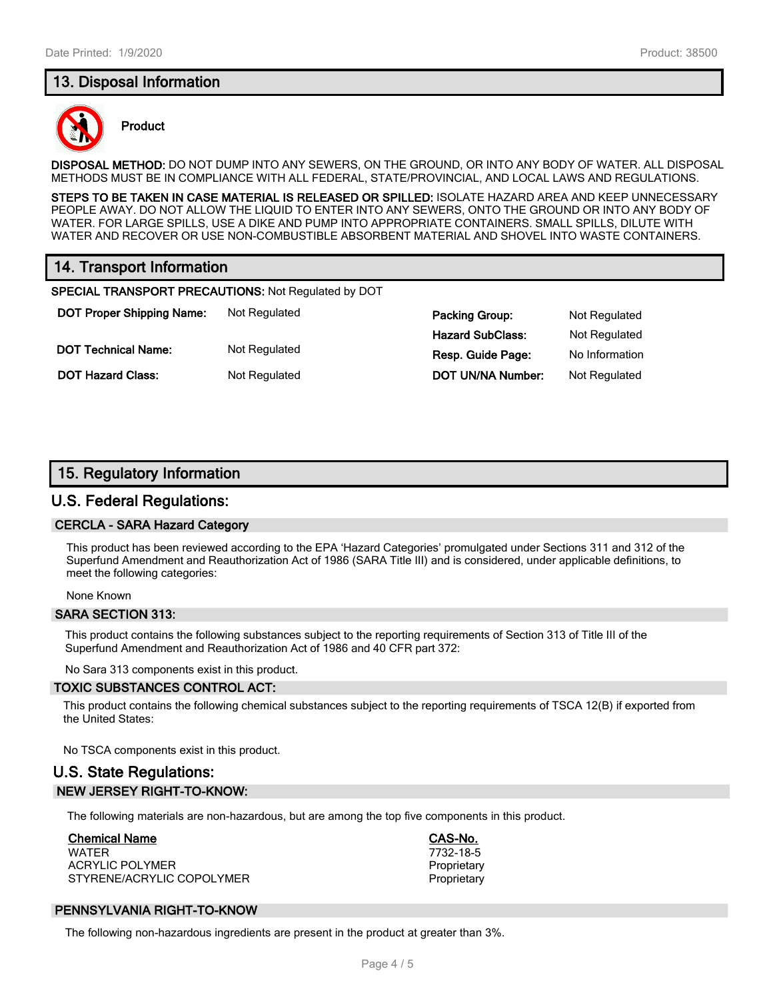## **13. Disposal Information**



## **Product**

**DISPOSAL METHOD:** DO NOT DUMP INTO ANY SEWERS, ON THE GROUND, OR INTO ANY BODY OF WATER. ALL DISPOSAL METHODS MUST BE IN COMPLIANCE WITH ALL FEDERAL, STATE/PROVINCIAL, AND LOCAL LAWS AND REGULATIONS.

**STEPS TO BE TAKEN IN CASE MATERIAL IS RELEASED OR SPILLED:** ISOLATE HAZARD AREA AND KEEP UNNECESSARY PEOPLE AWAY. DO NOT ALLOW THE LIQUID TO ENTER INTO ANY SEWERS, ONTO THE GROUND OR INTO ANY BODY OF WATER. FOR LARGE SPILLS, USE A DIKE AND PUMP INTO APPROPRIATE CONTAINERS. SMALL SPILLS, DILUTE WITH WATER AND RECOVER OR USE NON-COMBUSTIBLE ABSORBENT MATERIAL AND SHOVEL INTO WASTE CONTAINERS.

# **14. Transport Information**

**SPECIAL TRANSPORT PRECAUTIONS:** Not Regulated by DOT

**DOT Proper Shipping Name:** Not Regulated **Packing Group:** Not Regulated **Packing Group:** Not Regulated **DOT Technical Name:** Not Regulated **Resp. Guide Page:** No Information

**Hazard SubClass:** Not Regulated **DOT Hazard Class:** Not Regulated **DOT UN/NA Number:** Not Regulated

## **15. Regulatory Information**

## **U.S. Federal Regulations:**

#### **CERCLA - SARA Hazard Category**

This product has been reviewed according to the EPA 'Hazard Categories' promulgated under Sections 311 and 312 of the Superfund Amendment and Reauthorization Act of 1986 (SARA Title III) and is considered, under applicable definitions, to meet the following categories:

None Known

#### **SARA SECTION 313:**

This product contains the following substances subject to the reporting requirements of Section 313 of Title III of the Superfund Amendment and Reauthorization Act of 1986 and 40 CFR part 372:

No Sara 313 components exist in this product.

#### **TOXIC SUBSTANCES CONTROL ACT:**

This product contains the following chemical substances subject to the reporting requirements of TSCA 12(B) if exported from the United States:

No TSCA components exist in this product.

# **U.S. State Regulations: NEW JERSEY RIGHT-TO-KNOW:**

The following materials are non-hazardous, but are among the top five components in this product.

#### **Chemical Name CAS-No.**

WATER 7732-18-5 ACRYLIC POLYMER **PROPRIET ACRYLIC POLYMER** STYRENE/ACRYLIC COPOLYMER **Proprietary** Proprietary

## **PENNSYLVANIA RIGHT-TO-KNOW**

The following non-hazardous ingredients are present in the product at greater than 3%.